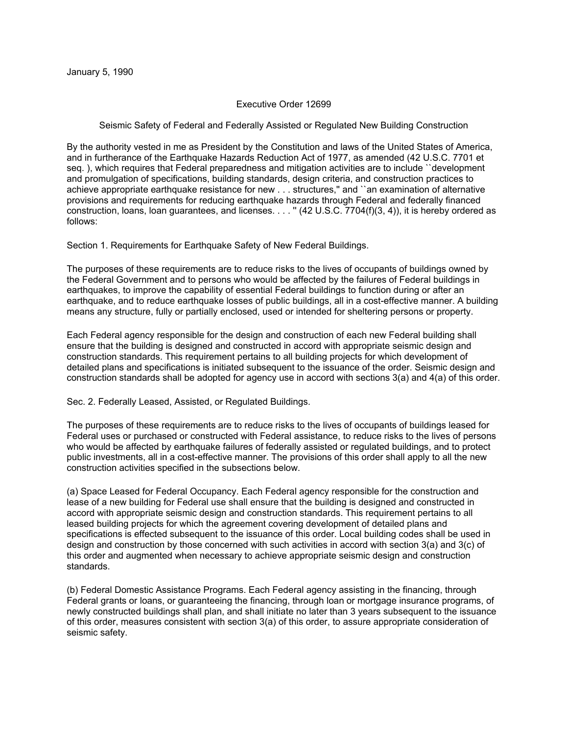## Executive Order 12699

## Seismic Safety of Federal and Federally Assisted or Regulated New Building Construction

By the authority vested in me as President by the Constitution and laws of the United States of America, and in furtherance of the Earthquake Hazards Reduction Act of 1977, as amended (42 U.S.C. 7701 et seq. ), which requires that Federal preparedness and mitigation activities are to include ``development and promulgation of specifications, building standards, design criteria, and construction practices to achieve appropriate earthquake resistance for new . . . structures,'' and ``an examination of alternative provisions and requirements for reducing earthquake hazards through Federal and federally financed construction, loans, loan guarantees, and licenses. . . . '' (42 U.S.C. 7704(f)(3, 4)), it is hereby ordered as follows:

Section 1. Requirements for Earthquake Safety of New Federal Buildings.

The purposes of these requirements are to reduce risks to the lives of occupants of buildings owned by the Federal Government and to persons who would be affected by the failures of Federal buildings in earthquakes, to improve the capability of essential Federal buildings to function during or after an earthquake, and to reduce earthquake losses of public buildings, all in a cost-effective manner. A building means any structure, fully or partially enclosed, used or intended for sheltering persons or property.

Each Federal agency responsible for the design and construction of each new Federal building shall ensure that the building is designed and constructed in accord with appropriate seismic design and construction standards. This requirement pertains to all building projects for which development of detailed plans and specifications is initiated subsequent to the issuance of the order. Seismic design and construction standards shall be adopted for agency use in accord with sections 3(a) and 4(a) of this order.

Sec. 2. Federally Leased, Assisted, or Regulated Buildings.

The purposes of these requirements are to reduce risks to the lives of occupants of buildings leased for Federal uses or purchased or constructed with Federal assistance, to reduce risks to the lives of persons who would be affected by earthquake failures of federally assisted or regulated buildings, and to protect public investments, all in a cost-effective manner. The provisions of this order shall apply to all the new construction activities specified in the subsections below.

(a) Space Leased for Federal Occupancy. Each Federal agency responsible for the construction and lease of a new building for Federal use shall ensure that the building is designed and constructed in accord with appropriate seismic design and construction standards. This requirement pertains to all leased building projects for which the agreement covering development of detailed plans and specifications is effected subsequent to the issuance of this order. Local building codes shall be used in design and construction by those concerned with such activities in accord with section 3(a) and 3(c) of this order and augmented when necessary to achieve appropriate seismic design and construction standards.

(b) Federal Domestic Assistance Programs. Each Federal agency assisting in the financing, through Federal grants or loans, or guaranteeing the financing, through loan or mortgage insurance programs, of newly constructed buildings shall plan, and shall initiate no later than 3 years subsequent to the issuance of this order, measures consistent with section 3(a) of this order, to assure appropriate consideration of seismic safety.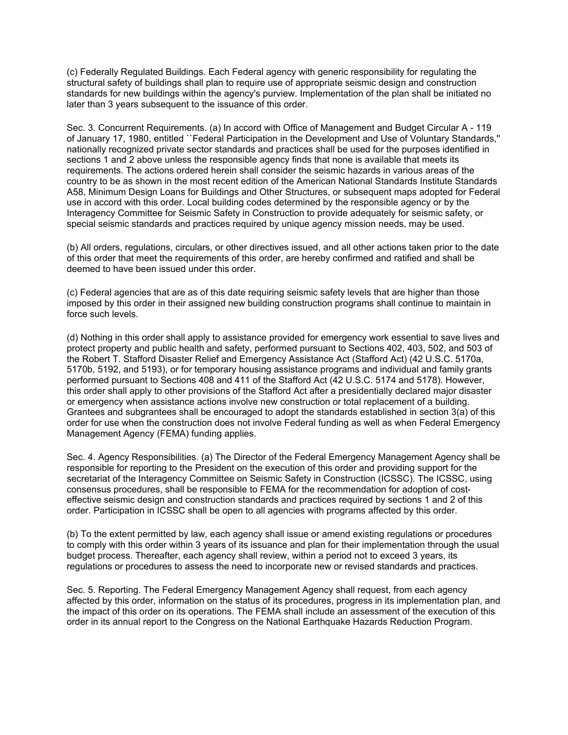(c) Federally Regulated Buildings. Each Federal agency with generic responsibility for regulating the structural safety of buildings shall plan to require use of appropriate seismic design and construction standards for new buildings within the agency's purview. Implementation of the plan shall be initiated no later than 3 years subsequent to the issuance of this order.

Sec. 3. Concurrent Requirements. (a) In accord with Office of Management and Budget Circular A - 119 of January 17, 1980, entitled ``Federal Participation in the Development and Use of Voluntary Standards,'' nationally recognized private sector standards and practices shall be used for the purposes identified in sections 1 and 2 above unless the responsible agency finds that none is available that meets its requirements. The actions ordered herein shall consider the seismic hazards in various areas of the country to be as shown in the most recent edition of the American National Standards Institute Standards A58, Minimum Design Loans for Buildings and Other Structures, or subsequent maps adopted for Federal use in accord with this order. Local building codes determined by the responsible agency or by the Interagency Committee for Seismic Safety in Construction to provide adequately for seismic safety, or special seismic standards and practices required by unique agency mission needs, may be used.

(b) All orders, regulations, circulars, or other directives issued, and all other actions taken prior to the date of this order that meet the requirements of this order, are hereby confirmed and ratified and shall be deemed to have been issued under this order.

(c) Federal agencies that are as of this date requiring seismic safety levels that are higher than those imposed by this order in their assigned new building construction programs shall continue to maintain in force such levels.

(d) Nothing in this order shall apply to assistance provided for emergency work essential to save lives and protect property and public health and safety, performed pursuant to Sections 402, 403, 502, and 503 of the Robert T. Stafford Disaster Relief and Emergency Assistance Act (Stafford Act) (42 U.S.C. 5170a, 5170b, 5192, and 5193), or for temporary housing assistance programs and individual and family grants performed pursuant to Sections 408 and 411 of the Stafford Act (42 U.S.C. 5174 and 5178). However, this order shall apply to other provisions of the Stafford Act after a presidentially declared major disaster or emergency when assistance actions involve new construction or total replacement of a building. Grantees and subgrantees shall be encouraged to adopt the standards established in section 3(a) of this order for use when the construction does not involve Federal funding as well as when Federal Emergency Management Agency (FEMA) funding applies.

Sec. 4. Agency Responsibilities. (a) The Director of the Federal Emergency Management Agency shall be responsible for reporting to the President on the execution of this order and providing support for the secretariat of the Interagency Committee on Seismic Safety in Construction (ICSSC). The ICSSC, using consensus procedures, shall be responsible to FEMA for the recommendation for adoption of costeffective seismic design and construction standards and practices required by sections 1 and 2 of this order. Participation in ICSSC shall be open to all agencies with programs affected by this order.

(b) To the extent permitted by law, each agency shall issue or amend existing regulations or procedures to comply with this order within 3 years of its issuance and plan for their implementation through the usual budget process. Thereafter, each agency shall review, within a period not to exceed 3 years, its regulations or procedures to assess the need to incorporate new or revised standards and practices.

Sec. 5. Reporting. The Federal Emergency Management Agency shall request, from each agency affected by this order, information on the status of its procedures, progress in its implementation plan, and the impact of this order on its operations. The FEMA shall include an assessment of the execution of this order in its annual report to the Congress on the National Earthquake Hazards Reduction Program.